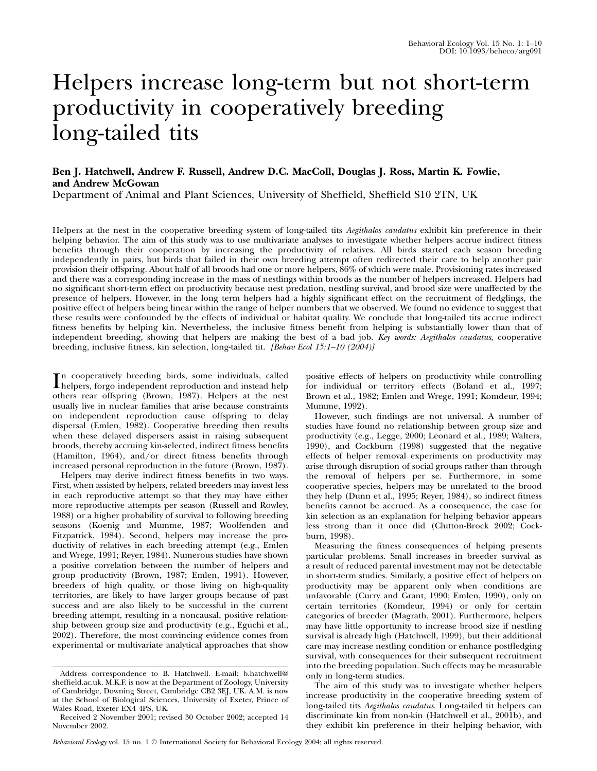# Helpers increase long-term but not short-term productivity in cooperatively breeding long-tailed tits

# Ben J. Hatchwell, Andrew F. Russell, Andrew D.C. MacColl, Douglas J. Ross, Martin K. Fowlie, and Andrew McGowan

Department of Animal and Plant Sciences, University of Sheffield, Sheffield S10 2TN, UK

Helpers at the nest in the cooperative breeding system of long-tailed tits Aegithalos caudatus exhibit kin preference in their helping behavior. The aim of this study was to use multivariate analyses to investigate whether helpers accrue indirect fitness benefits through their cooperation by increasing the productivity of relatives. All birds started each season breeding independently in pairs, but birds that failed in their own breeding attempt often redirected their care to help another pair provision their offspring. About half of all broods had one or more helpers, 86% of which were male. Provisioning rates increased and there was a corresponding increase in the mass of nestlings within broods as the number of helpers increased. Helpers had no significant short-term effect on productivity because nest predation, nestling survival, and brood size were unaffected by the presence of helpers. However, in the long term helpers had a highly significant effect on the recruitment of fledglings, the positive effect of helpers being linear within the range of helper numbers that we observed. We found no evidence to suggest that these results were confounded by the effects of individual or habitat quality. We conclude that long-tailed tits accrue indirect fitness benefits by helping kin. Nevertheless, the inclusive fitness benefit from helping is substantially lower than that of independent breeding, showing that helpers are making the best of a bad job. Key words: Aegithalos caudatus, cooperative breeding, inclusive fitness, kin selection, long-tailed tit. [Behav Ecol 15:1–10 (2004)]

In cooperatively breeding birds, some individuals, called<br>helpers, forgo independent reproduction and instead help helpers, forgo independent reproduction and instead help others rear offspring (Brown, 1987). Helpers at the nest usually live in nuclear families that arise because constraints on independent reproduction cause offspring to delay dispersal (Emlen, 1982). Cooperative breeding then results when these delayed dispersers assist in raising subsequent broods, thereby accruing kin-selected, indirect fitness benefits (Hamilton, 1964), and/or direct fitness benefits through increased personal reproduction in the future (Brown, 1987).

Helpers may derive indirect fitness benefits in two ways. First, when assisted by helpers, related breeders may invest less in each reproductive attempt so that they may have either more reproductive attempts per season (Russell and Rowley, 1988) or a higher probability of survival to following breeding seasons (Koenig and Mumme, 1987; Woolfenden and Fitzpatrick, 1984). Second, helpers may increase the productivity of relatives in each breeding attempt (e.g., Emlen and Wrege, 1991; Reyer, 1984). Numerous studies have shown a positive correlation between the number of helpers and group productivity (Brown, 1987; Emlen, 1991). However, breeders of high quality, or those living on high-quality territories, are likely to have larger groups because of past success and are also likely to be successful in the current breeding attempt, resulting in a noncausal, positive relationship between group size and productivity (e.g., Eguchi et al., 2002). Therefore, the most convincing evidence comes from experimental or multivariate analytical approaches that show positive effects of helpers on productivity while controlling for individual or territory effects (Boland et al., 1997; Brown et al., 1982; Emlen and Wrege, 1991; Komdeur, 1994; Mumme, 1992).

However, such findings are not universal. A number of studies have found no relationship between group size and productivity (e.g., Legge, 2000; Leonard et al., 1989; Walters, 1990), and Cockburn (1998) suggested that the negative effects of helper removal experiments on productivity may arise through disruption of social groups rather than through the removal of helpers per se. Furthermore, in some cooperative species, helpers may be unrelated to the brood they help (Dunn et al., 1995; Reyer, 1984), so indirect fitness benefits cannot be accrued. As a consequence, the case for kin selection as an explanation for helping behavior appears less strong than it once did (Clutton-Brock 2002; Cockburn, 1998).

Measuring the fitness consequences of helping presents particular problems. Small increases in breeder survival as a result of reduced parental investment may not be detectable in short-term studies. Similarly, a positive effect of helpers on productivity may be apparent only when conditions are unfavorable (Curry and Grant, 1990; Emlen, 1990), only on certain territories (Komdeur, 1994) or only for certain categories of breeder (Magrath, 2001). Furthermore, helpers may have little opportunity to increase brood size if nestling survival is already high (Hatchwell, 1999), but their additional care may increase nestling condition or enhance postfledging survival, with consequences for their subsequent recruitment into the breeding population. Such effects may be measurable only in long-term studies.

The aim of this study was to investigate whether helpers increase productivity in the cooperative breeding system of long-tailed tits Aegithalos caudatus. Long-tailed tit helpers can discriminate kin from non-kin (Hatchwell et al., 2001b), and they exhibit kin preference in their helping behavior, with

Behavioral Ecology vol. 15 no. 1  $\odot$  International Society for Behavioral Ecology 2004; all rights reserved.

Address correspondence to B. Hatchwell. E-mail: b.hatchwell@ sheffield.ac.uk. M.K.F. is now at the Department of Zoology, University of Cambridge, Downing Street, Cambridge CB2 3EJ, UK. A.M. is now at the School of Biological Sciences, University of Exeter, Prince of Wales Road, Exeter EX4 4PS, UK.

Received 2 November 2001; revised 30 October 2002; accepted 14 November 2002.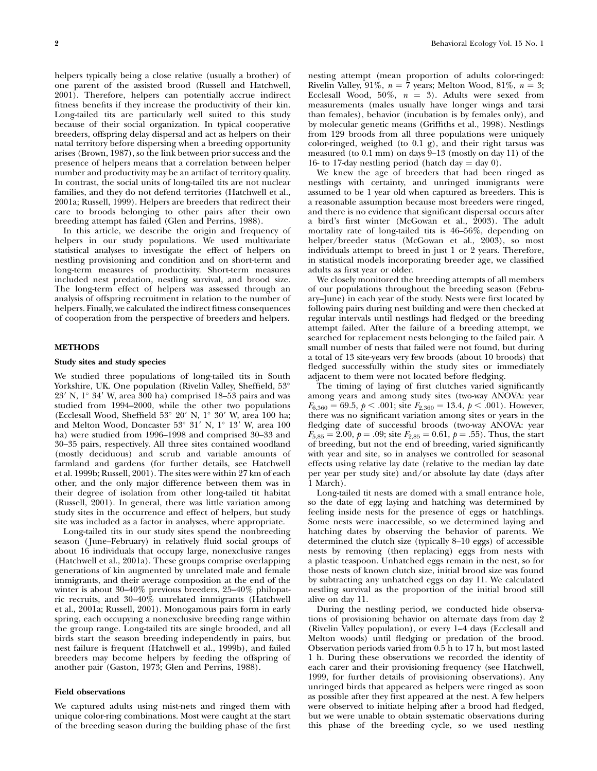helpers typically being a close relative (usually a brother) of one parent of the assisted brood (Russell and Hatchwell, 2001). Therefore, helpers can potentially accrue indirect fitness benefits if they increase the productivity of their kin. Long-tailed tits are particularly well suited to this study because of their social organization. In typical cooperative breeders, offspring delay dispersal and act as helpers on their natal territory before dispersing when a breeding opportunity arises (Brown, 1987), so the link between prior success and the presence of helpers means that a correlation between helper number and productivity may be an artifact of territory quality. In contrast, the social units of long-tailed tits are not nuclear families, and they do not defend territories (Hatchwell et al., 2001a; Russell, 1999). Helpers are breeders that redirect their care to broods belonging to other pairs after their own breeding attempt has failed (Glen and Perrins, 1988).

In this article, we describe the origin and frequency of helpers in our study populations. We used multivariate statistical analyses to investigate the effect of helpers on nestling provisioning and condition and on short-term and long-term measures of productivity. Short-term measures included nest predation, nestling survival, and brood size. The long-term effect of helpers was assessed through an analysis of offspring recruitment in relation to the number of helpers. Finally, we calculated the indirect fitness consequences of cooperation from the perspective of breeders and helpers.

# METHODS

#### Study sites and study species

We studied three populations of long-tailed tits in South Yorkshire, UK. One population (Rivelin Valley, Sheffield, 53°  $23'$  N,  $1^\circ$  34' W, area  $300$  ha) comprised 18–53 pairs and was studied from 1994–2000, while the other two populations (Ecclesall Wood, Sheffield 53° 20' N, 1° 30' W, area 100 ha; and Melton Wood, Doncaster 53° 31' N, 1° 13' W, area 100 ha) were studied from 1996–1998 and comprised 30–33 and 30–35 pairs, respectively. All three sites contained woodland (mostly deciduous) and scrub and variable amounts of farmland and gardens (for further details, see Hatchwell et al. 1999b; Russell, 2001). The sites were within 27 km of each other, and the only major difference between them was in their degree of isolation from other long-tailed tit habitat (Russell, 2001). In general, there was little variation among study sites in the occurrence and effect of helpers, but study site was included as a factor in analyses, where appropriate.

Long-tailed tits in our study sites spend the nonbreeding season (June–February) in relatively fluid social groups of about 16 individuals that occupy large, nonexclusive ranges (Hatchwell et al., 2001a). These groups comprise overlapping generations of kin augmented by unrelated male and female immigrants, and their average composition at the end of the winter is about 30–40% previous breeders, 25–40% philopatric recruits, and 30–40% unrelated immigrants (Hatchwell et al., 2001a; Russell, 2001). Monogamous pairs form in early spring, each occupying a nonexclusive breeding range within the group range. Long-tailed tits are single brooded, and all birds start the season breeding independently in pairs, but nest failure is frequent (Hatchwell et al., 1999b), and failed breeders may become helpers by feeding the offspring of another pair (Gaston, 1973; Glen and Perrins, 1988).

# Field observations

We captured adults using mist-nets and ringed them with unique color-ring combinations. Most were caught at the start of the breeding season during the building phase of the first nesting attempt (mean proportion of adults color-ringed: Rivelin Valley, 91%,  $n = 7$  years; Melton Wood, 81%,  $n = 3$ ; Ecclesall Wood, 50%,  $n = 3$ ). Adults were sexed from measurements (males usually have longer wings and tarsi than females), behavior (incubation is by females only), and by molecular genetic means (Griffiths et al., 1998). Nestlings from 129 broods from all three populations were uniquely color-ringed, weighed (to 0.1 g), and their right tarsus was measured (to 0.1 mm) on days 9–13 (mostly on day 11) of the 16- to 17-day nestling period (hatch day  $=$  day 0).

We knew the age of breeders that had been ringed as nestlings with certainty, and unringed immigrants were assumed to be 1 year old when captured as breeders. This is a reasonable assumption because most breeders were ringed, and there is no evidence that significant dispersal occurs after a bird's first winter (McGowan et al., 2003). The adult mortality rate of long-tailed tits is 46–56%, depending on helper/breeder status (McGowan et al., 2003), so most individuals attempt to breed in just 1 or 2 years. Therefore, in statistical models incorporating breeder age, we classified adults as first year or older.

We closely monitored the breeding attempts of all members of our populations throughout the breeding season (February–June) in each year of the study. Nests were first located by following pairs during nest building and were then checked at regular intervals until nestlings had fledged or the breeding attempt failed. After the failure of a breeding attempt, we searched for replacement nests belonging to the failed pair. A small number of nests that failed were not found, but during a total of 13 site-years very few broods (about 10 broods) that fledged successfully within the study sites or immediately adjacent to them were not located before fledging.

The timing of laying of first clutches varied significantly among years and among study sites (two-way ANOVA: year  $F_{6,360} = 69.5, p < .001$ ; site  $F_{2,360} = 13.4, p < .001$ ). However, there was no significant variation among sites or years in the fledging date of successful broods (two-way ANOVA: year  $F_{5,85} = 2.00, p = .09$ ; site  $F_{2,85} = 0.61, p = .55$ ). Thus, the start of breeding, but not the end of breeding, varied significantly with year and site, so in analyses we controlled for seasonal effects using relative lay date (relative to the median lay date per year per study site) and/or absolute lay date (days after 1 March).

Long-tailed tit nests are domed with a small entrance hole, so the date of egg laying and hatching was determined by feeling inside nests for the presence of eggs or hatchlings. Some nests were inaccessible, so we determined laying and hatching dates by observing the behavior of parents. We determined the clutch size (typically 8–10 eggs) of accessible nests by removing (then replacing) eggs from nests with a plastic teaspoon. Unhatched eggs remain in the nest, so for those nests of known clutch size, initial brood size was found by subtracting any unhatched eggs on day 11. We calculated nestling survival as the proportion of the initial brood still alive on day 11.

During the nestling period, we conducted hide observations of provisioning behavior on alternate days from day 2 (Rivelin Valley population), or every 1–4 days (Ecclesall and Melton woods) until fledging or predation of the brood. Observation periods varied from 0.5 h to 17 h, but most lasted 1 h. During these observations we recorded the identity of each carer and their provisioning frequency (see Hatchwell, 1999, for further details of provisioning observations). Any unringed birds that appeared as helpers were ringed as soon as possible after they first appeared at the nest. A few helpers were observed to initiate helping after a brood had fledged, but we were unable to obtain systematic observations during this phase of the breeding cycle, so we used nestling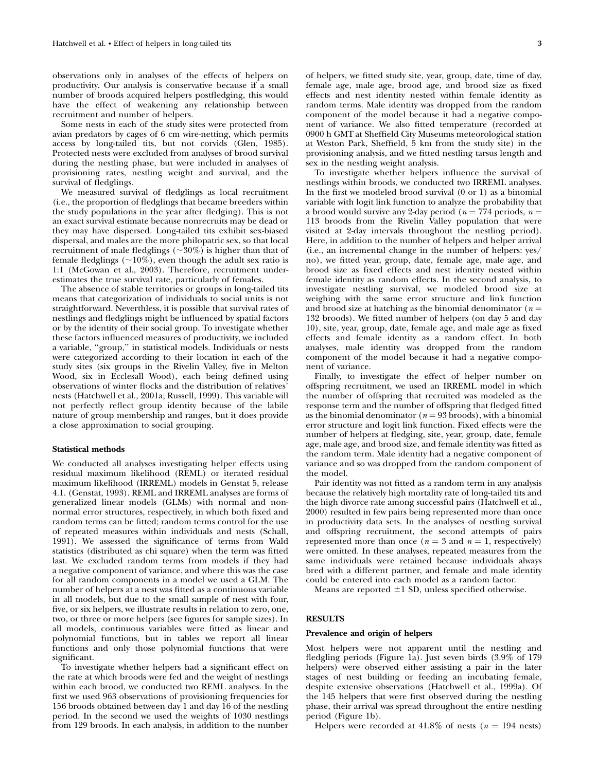observations only in analyses of the effects of helpers on productivity. Our analysis is conservative because if a small number of broods acquired helpers postfledging, this would have the effect of weakening any relationship between recruitment and number of helpers.

Some nests in each of the study sites were protected from avian predators by cages of 6 cm wire-netting, which permits access by long-tailed tits, but not corvids (Glen, 1985). Protected nests were excluded from analyses of brood survival during the nestling phase, but were included in analyses of provisioning rates, nestling weight and survival, and the survival of fledglings.

We measured survival of fledglings as local recruitment (i.e., the proportion of fledglings that became breeders within the study populations in the year after fledging). This is not an exact survival estimate because nonrecruits may be dead or they may have dispersed. Long-tailed tits exhibit sex-biased dispersal, and males are the more philopatric sex, so that local recruitment of male fledglings  $(\sim 30\%)$  is higher than that of female fledglings ( $\sim$ 10%), even though the adult sex ratio is 1:1 (McGowan et al., 2003). Therefore, recruitment underestimates the true survival rate, particularly of females.

The absence of stable territories or groups in long-tailed tits means that categorization of individuals to social units is not straightforward. Neverthless, it is possible that survival rates of nestlings and fledglings might be influenced by spatial factors or by the identity of their social group. To investigate whether these factors influenced measures of productivity, we included a variable, ''group,'' in statistical models. Individuals or nests were categorized according to their location in each of the study sites (six groups in the Rivelin Valley, five in Melton Wood, six in Ecclesall Wood), each being defined using observations of winter flocks and the distribution of relatives' nests (Hatchwell et al., 2001a; Russell, 1999). This variable will not perfectly reflect group identity because of the labile nature of group membership and ranges, but it does provide a close approximation to social grouping.

#### Statistical methods

We conducted all analyses investigating helper effects using residual maximum likelihood (REML) or iterated residual maximum likelihood (IRREML) models in Genstat 5, release 4.1. (Genstat, 1993). REML and IRREML analyses are forms of generalized linear models (GLMs) with normal and nonnormal error structures, respectively, in which both fixed and random terms can be fitted; random terms control for the use of repeated measures within individuals and nests (Schall, 1991). We assessed the significance of terms from Wald statistics (distributed as chi square) when the term was fitted last. We excluded random terms from models if they had a negative component of variance, and where this was the case for all random components in a model we used a GLM. The number of helpers at a nest was fitted as a continuous variable in all models, but due to the small sample of nest with four, five, or six helpers, we illustrate results in relation to zero, one, two, or three or more helpers (see figures for sample sizes). In all models, continuous variables were fitted as linear and polynomial functions, but in tables we report all linear functions and only those polynomial functions that were significant.

To investigate whether helpers had a significant effect on the rate at which broods were fed and the weight of nestlings within each brood, we conducted two REML analyses. In the first we used 963 observations of provisioning frequencies for 156 broods obtained between day 1 and day 16 of the nestling period. In the second we used the weights of 1030 nestlings from 129 broods. In each analysis, in addition to the number

of helpers, we fitted study site, year, group, date, time of day, female age, male age, brood age, and brood size as fixed effects and nest identity nested within female identity as random terms. Male identity was dropped from the random component of the model because it had a negative component of variance. We also fitted temperature (recorded at 0900 h GMT at Sheffield City Museums meteorological station at Weston Park, Sheffield, 5 km from the study site) in the provisioning analysis, and we fitted nestling tarsus length and sex in the nestling weight analysis.

To investigate whether helpers influence the survival of nestlings within broods, we conducted two IRREML analyses. In the first we modeled brood survival (0 or 1) as a binomial variable with logit link function to analyze the probability that a brood would survive any 2-day period ( $n = 774$  periods,  $n =$ 113 broods from the Rivelin Valley population that were visited at 2-day intervals throughout the nestling period). Here, in addition to the number of helpers and helper arrival (i.e., an incremental change in the number of helpers: yes/ no), we fitted year, group, date, female age, male age, and brood size as fixed effects and nest identity nested within female identity as random effects. In the second analysis, to investigate nestling survival, we modeled brood size at weighing with the same error structure and link function and brood size at hatching as the binomial denominator ( $n =$ 132 broods). We fitted number of helpers (on day 5 and day 10), site, year, group, date, female age, and male age as fixed effects and female identity as a random effect. In both analyses, male identity was dropped from the random component of the model because it had a negative component of variance.

Finally, to investigate the effect of helper number on offspring recruitment, we used an IRREML model in which the number of offspring that recruited was modeled as the response term and the number of offspring that fledged fitted as the binomial denominator ( $n = 93$  broods), with a binomial error structure and logit link function. Fixed effects were the number of helpers at fledging, site, year, group, date, female age, male age, and brood size, and female identity was fitted as the random term. Male identity had a negative component of variance and so was dropped from the random component of the model.

Pair identity was not fitted as a random term in any analysis because the relatively high mortality rate of long-tailed tits and the high divorce rate among successful pairs (Hatchwell et al., 2000) resulted in few pairs being represented more than once in productivity data sets. In the analyses of nestling survival and offspring recruitment, the second attempts of pairs represented more than once ( $n = 3$  and  $n = 1$ , respectively) were omitted. In these analyses, repeated measures from the same individuals were retained because individuals always bred with a different partner, and female and male identity could be entered into each model as a random factor.

Means are reported  $\pm 1$  SD, unless specified otherwise.

#### **RESULTS**

# Prevalence and origin of helpers

Most helpers were not apparent until the nestling and fledgling periods (Figure 1a). Just seven birds (3.9% of 179 helpers) were observed either assisting a pair in the later stages of nest building or feeding an incubating female, despite extensive observations (Hatchwell et al., 1999a). Of the 145 helpers that were first observed during the nestling phase, their arrival was spread throughout the entire nestling period (Figure 1b).

Helpers were recorded at 41.8% of nests ( $n = 194$  nests)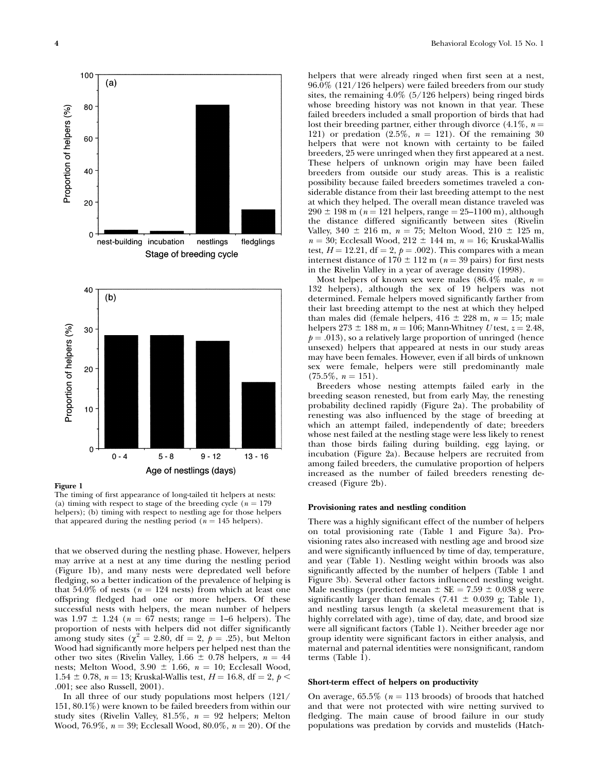

The timing of first appearance of long-tailed tit helpers at nests: (a) timing with respect to stage of the breeding cycle ( $n = 179$ ) helpers); (b) timing with respect to nestling age for those helpers that appeared during the nestling period ( $n = 145$  helpers).

that we observed during the nestling phase. However, helpers may arrive at a nest at any time during the nestling period (Figure 1b), and many nests were depredated well before fledging, so a better indication of the prevalence of helping is that 54.0% of nests ( $n = 124$  nests) from which at least one offspring fledged had one or more helpers. Of these successful nests with helpers, the mean number of helpers was  $1.97 \pm 1.24$  ( $n = 67$  nests; range = 1–6 helpers). The proportion of nests with helpers did not differ significantly among study sites ( $\chi^2 = 2.80$ , df = 2,  $p = .25$ ), but Melton Wood had significantly more helpers per helped nest than the other two sites (Rivelin Valley,  $1.66 \pm 0.78$  helpers,  $n = 44$ nests; Melton Wood, 3.90  $\pm$  1.66,  $n = 10$ ; Ecclesall Wood, 1.54  $\pm$  0.78, n = 13; Kruskal-Wallis test, H = 16.8, df = 2, p < .001; see also Russell, 2001).

In all three of our study populations most helpers (121/ 151, 80.1%) were known to be failed breeders from within our study sites (Rivelin Valley, 81.5%,  $n = 92$  helpers; Melton Wood, 76.9%,  $n = 39$ ; Ecclesall Wood, 80.0%,  $n = 20$ ). Of the

helpers that were already ringed when first seen at a nest, 96.0% (121/126 helpers) were failed breeders from our study sites, the remaining  $4.0\%$  (5/126 helpers) being ringed birds whose breeding history was not known in that year. These failed breeders included a small proportion of birds that had lost their breeding partner, either through divorce  $(4.1\%, n =$ 121) or predation  $(2.5\%, n = 121)$ . Of the remaining 30 helpers that were not known with certainty to be failed breeders, 25 were unringed when they first appeared at a nest. These helpers of unknown origin may have been failed breeders from outside our study areas. This is a realistic possibility because failed breeders sometimes traveled a considerable distance from their last breeding attempt to the nest at which they helped. The overall mean distance traveled was  $290 \pm 198$  m ( $n = 121$  helpers, range = 25–1100 m), although the distance differed significantly between sites (Rivelin Valley, 340  $\pm$  216 m, n = 75; Melton Wood, 210  $\pm$  125 m,  $n = 30$ ; Ecclesall Wood,  $212 \pm 144$  m,  $n = 16$ ; Kruskal-Wallis test,  $H = 12.21$ , df = 2,  $p = .002$ ). This compares with a mean internest distance of  $170 \pm 112$  m ( $n = 39$  pairs) for first nests in the Rivelin Valley in a year of average density (1998).

Most helpers of known sex were males (86.4% male,  $n =$ 132 helpers), although the sex of 19 helpers was not determined. Female helpers moved significantly farther from their last breeding attempt to the nest at which they helped than males did (female helpers,  $416 \pm 228$  m,  $n = 15$ ; male helpers  $273 \pm 188$  m,  $n = 106$ ; Mann-Whitney U test,  $z = 2.48$ ,  $p = .013$ ), so a relatively large proportion of unringed (hence unsexed) helpers that appeared at nests in our study areas may have been females. However, even if all birds of unknown sex were female, helpers were still predominantly male  $(75.5\%, n = 151).$ 

Breeders whose nesting attempts failed early in the breeding season renested, but from early May, the renesting probability declined rapidly (Figure 2a). The probability of renesting was also influenced by the stage of breeding at which an attempt failed, independently of date; breeders whose nest failed at the nestling stage were less likely to renest than those birds failing during building, egg laying, or incubation (Figure 2a). Because helpers are recruited from among failed breeders, the cumulative proportion of helpers increased as the number of failed breeders renesting decreased (Figure 2b).

# Provisioning rates and nestling condition

There was a highly significant effect of the number of helpers on total provisioning rate (Table 1 and Figure 3a). Provisioning rates also increased with nestling age and brood size and were significantly influenced by time of day, temperature, and year (Table 1). Nestling weight within broods was also significantly affected by the number of helpers (Table 1 and Figure 3b). Several other factors influenced nestling weight. Male nestlings (predicted mean  $\pm$  SE = 7.59  $\pm$  0.038 g were significantly larger than females (7.41  $\pm$  0.039 g; Table 1), and nestling tarsus length (a skeletal measurement that is highly correlated with age), time of day, date, and brood size were all significant factors (Table 1). Neither breeder age nor group identity were significant factors in either analysis, and maternal and paternal identities were nonsignificant, random terms (Table 1).

#### Short-term effect of helpers on productivity

On average,  $65.5\%$  ( $n = 113$  broods) of broods that hatched and that were not protected with wire netting survived to fledging. The main cause of brood failure in our study populations was predation by corvids and mustelids (Hatch-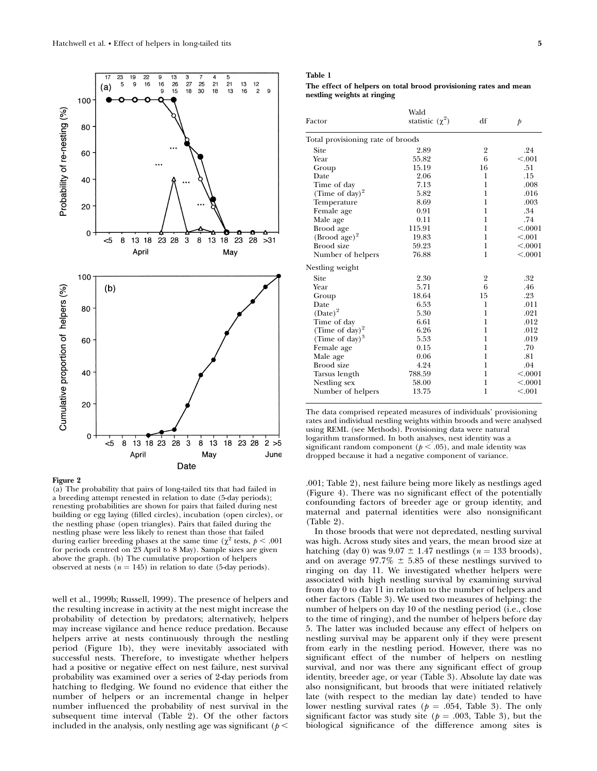

(a) The probability that pairs of long-tailed tits that had failed in a breeding attempt renested in relation to date (5-day periods); renesting probabilities are shown for pairs that failed during nest building or egg laying (filled circles), incubation (open circles), or the nestling phase (open triangles). Pairs that failed during the nestling phase were less likely to renest than those that failed during earlier breeding phases at the same time ( $\chi^2$  tests,  $p < .001$ for periods centred on 23 April to 8 May). Sample sizes are given above the graph. (b) The cumulative proportion of helpers observed at nests ( $n = 145$ ) in relation to date (5-day periods).

well et al., 1999b; Russell, 1999). The presence of helpers and the resulting increase in activity at the nest might increase the probability of detection by predators; alternatively, helpers may increase vigilance and hence reduce predation. Because helpers arrive at nests continuously through the nestling period (Figure 1b), they were inevitably associated with successful nests. Therefore, to investigate whether helpers had a positive or negative effect on nest failure, nest survival probability was examined over a series of 2-day periods from hatching to fledging. We found no evidence that either the number of helpers or an incremental change in helper number influenced the probability of nest survival in the subsequent time interval (Table 2). Of the other factors included in the analysis, only nestling age was significant ( $p <$ 

#### Table 1

The effect of helpers on total brood provisioning rates and mean nestling weights at ringing

| Factor                            | Wald<br>statistic $(\chi^2)$ | df | $\mathfrak{p}$ |
|-----------------------------------|------------------------------|----|----------------|
| Total provisioning rate of broods |                              |    |                |
| Site                              | 2.89                         | 2  | .24            |
| Year                              | 55.82                        | 6  | < 0.001        |
| Group                             | 15.19                        | 16 | .51            |
| Date                              | 2.06                         | 1  | .15            |
| Time of day                       | 7.13                         | 1  | .008           |
| (Time of day) <sup>2</sup>        | 5.82                         | 1  | .016           |
| Temperature                       | 8.69                         | 1  | .003           |
| Female age                        | 0.91                         | 1  | .34            |
| Male age                          | 0.11                         | 1  | .74            |
| Brood age                         | 115.91                       | 1  | < .0001        |
| $(Brood age)^2$                   | 19.83                        | 1  | < 0.001        |
| Brood size                        | 59.23                        | 1  | < .0001        |
| Number of helpers                 | 76.88                        | 1  | < .0001        |
| Nestling weight                   |                              |    |                |
| Site                              | 2.30                         | 2  | .32            |
| Year                              | 5.71                         | 6  | .46            |
| Group                             | 18.64                        | 15 | .23            |
| Date                              | 6.53                         | 1  | .011           |
| $(Date)^2$                        | 5.30                         | 1  | .021           |
| Time of day                       | 6.61                         | 1  | .012           |
| (Time of day) $^{2}$              | 6.26                         | 1  | .012           |
| (Time of day) <sup>3</sup>        | 5.53                         | 1  | .019           |
| Female age                        | 0.15                         | 1  | .70            |
| Male age                          | 0.06                         | 1  | .81            |
| Brood size                        | 4.24                         | 1  | .04            |
| Tarsus length                     | 788.59                       | 1  | < .0001        |
| Nestling sex                      | 58.00                        | 1  | < .0001        |
| Number of helpers                 | 13.75                        | 1  | < 0.001        |

The data comprised repeated measures of individuals' provisioning rates and individual nestling weights within broods and were analysed using REML (see Methods). Provisioning data were natural logarithm transformed. In both analyses, nest identity was a significant random component ( $p < .05$ ), and male identity was dropped because it had a negative component of variance.

.001; Table 2), nest failure being more likely as nestlings aged (Figure 4). There was no significant effect of the potentially confounding factors of breeder age or group identity, and maternal and paternal identities were also nonsignificant (Table 2).

In those broods that were not depredated, nestling survival was high. Across study sites and years, the mean brood size at hatching (day 0) was  $9.07 \pm 1.47$  nestlings (n = 133 broods), and on average  $97.7\% \pm 5.85$  of these nestlings survived to ringing on day 11. We investigated whether helpers were associated with high nestling survival by examining survival from day 0 to day 11 in relation to the number of helpers and other factors (Table 3). We used two measures of helping: the number of helpers on day 10 of the nestling period (i.e., close to the time of ringing), and the number of helpers before day 5. The latter was included because any effect of helpers on nestling survival may be apparent only if they were present from early in the nestling period. However, there was no significant effect of the number of helpers on nestling survival, and nor was there any significant effect of group identity, breeder age, or year (Table 3). Absolute lay date was also nonsignificant, but broods that were initiated relatively late (with respect to the median lay date) tended to have lower nestling survival rates ( $p = .054$ , Table 3). The only significant factor was study site ( $p = .003$ , Table 3), but the biological significance of the difference among sites is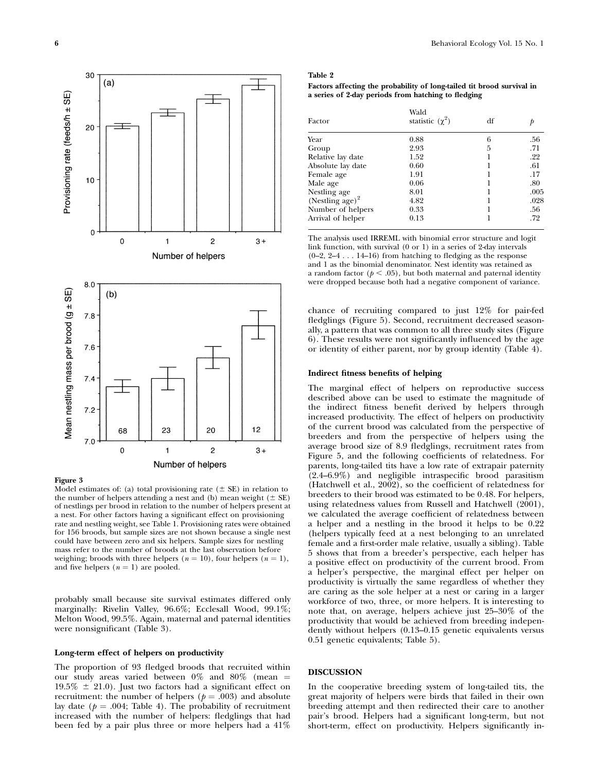

Model estimates of: (a) total provisioning rate ( $\pm$  SE) in relation to the number of helpers attending a nest and (b) mean weight  $(± SE)$ of nestlings per brood in relation to the number of helpers present at a nest. For other factors having a significant effect on provisioning rate and nestling weight, see Table 1. Provisioning rates were obtained for 156 broods, but sample sizes are not shown because a single nest could have between zero and six helpers. Sample sizes for nestling mass refer to the number of broods at the last observation before weighing; broods with three helpers ( $n = 10$ ), four helpers ( $n = 1$ ), and five helpers  $(n = 1)$  are pooled.

probably small because site survival estimates differed only marginally: Rivelin Valley, 96.6%; Ecclesall Wood, 99.1%; Melton Wood, 99.5%. Again, maternal and paternal identities were nonsignificant (Table 3).

# Long-term effect of helpers on productivity

The proportion of 93 fledged broods that recruited within our study areas varied between  $0\%$  and  $80\%$  (mean = 19.5%  $\pm$  21.0). Just two factors had a significant effect on recruitment: the number of helpers ( $p = .003$ ) and absolute lay date ( $p = .004$ ; Table 4). The probability of recruitment increased with the number of helpers: fledglings that had been fed by a pair plus three or more helpers had a 41%

# Table 2

# Factors affecting the probability of long-tailed tit brood survival in a series of 2-day periods from hatching to fledging

| Factor                      | Wald<br>statistic $(\chi^2)$ | df |      |
|-----------------------------|------------------------------|----|------|
| Year                        | 0.88                         | 6  | .56  |
| Group                       | 2.93                         | 5  | .71  |
| Relative lay date           | 1.52                         |    | .22  |
| Absolute lay date           | 0.60                         |    | .61  |
| Female age                  | 1.91                         |    | .17  |
| Male age                    | 0.06                         |    | .80  |
| Nestling age                | 8.01                         |    | .005 |
| (Nestling age) <sup>2</sup> | 4.82                         |    | .028 |
| Number of helpers           | 0.33                         |    | .56  |
| Arrival of helper           | 0.13                         |    | .72  |

The analysis used IRREML with binomial error structure and logit link function, with survival (0 or 1) in a series of 2-day intervals (0–2, 2–4 . . . 14–16) from hatching to fledging as the response and 1 as the binomial denominator. Nest identity was retained as a random factor ( $p < .05$ ), but both maternal and paternal identity were dropped because both had a negative component of variance.

chance of recruiting compared to just 12% for pair-fed fledglings (Figure 5). Second, recruitment decreased seasonally, a pattern that was common to all three study sites (Figure 6). These results were not significantly influenced by the age or identity of either parent, nor by group identity (Table 4).

# Indirect fitness benefits of helping

The marginal effect of helpers on reproductive success described above can be used to estimate the magnitude of the indirect fitness benefit derived by helpers through increased productivity. The effect of helpers on productivity of the current brood was calculated from the perspective of breeders and from the perspective of helpers using the average brood size of 8.9 fledglings, recruitment rates from Figure 5, and the following coefficients of relatedness. For parents, long-tailed tits have a low rate of extrapair paternity (2.4–6.9%) and negligible intraspecific brood parasitism (Hatchwell et al., 2002), so the coefficient of relatedness for breeders to their brood was estimated to be 0.48. For helpers, using relatedness values from Russell and Hatchwell (2001), we calculated the average coefficient of relatedness between a helper and a nestling in the brood it helps to be 0.22 (helpers typically feed at a nest belonging to an unrelated female and a first-order male relative, usually a sibling). Table 5 shows that from a breeder's perspective, each helper has a positive effect on productivity of the current brood. From a helper's perspective, the marginal effect per helper on productivity is virtually the same regardless of whether they are caring as the sole helper at a nest or caring in a larger workforce of two, three, or more helpers. It is interesting to note that, on average, helpers achieve just 25–30% of the productivity that would be achieved from breeding independently without helpers (0.13–0.15 genetic equivalents versus 0.51 genetic equivalents; Table 5).

# DISCUSSION

In the cooperative breeding system of long-tailed tits, the great majority of helpers were birds that failed in their own breeding attempt and then redirected their care to another pair's brood. Helpers had a significant long-term, but not short-term, effect on productivity. Helpers significantly in-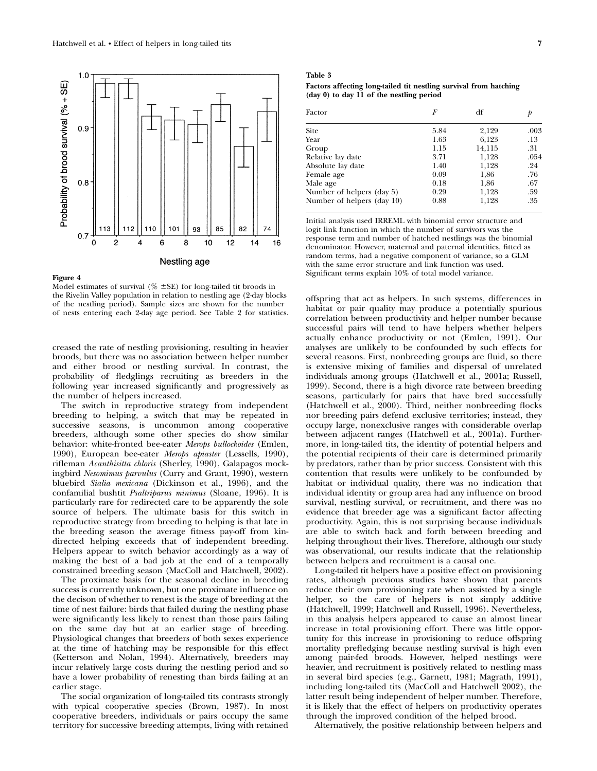

Model estimates of survival ( $\%$   $\pm$ SE) for long-tailed tit broods in the Rivelin Valley population in relation to nestling age (2-day blocks of the nestling period). Sample sizes are shown for the number of nests entering each 2-day age period. See Table 2 for statistics.

creased the rate of nestling provisioning, resulting in heavier broods, but there was no association between helper number and either brood or nestling survival. In contrast, the probability of fledglings recruiting as breeders in the following year increased significantly and progressively as the number of helpers increased.

The switch in reproductive strategy from independent breeding to helping, a switch that may be repeated in successive seasons, is uncommon among cooperative breeders, although some other species do show similar behavior: white-fronted bee-eater Merops bullockoides (Emlen, 1990), European bee-eater Merops apiaster (Lessells, 1990), rifleman Acanthisitta chloris (Sherley, 1990), Galapagos mockingbird Nesomimus parvulus (Curry and Grant, 1990), western bluebird Sialia mexicana (Dickinson et al., 1996), and the confamilial bushtit Psaltriparus minimus (Sloane, 1996). It is particularly rare for redirected care to be apparently the sole source of helpers. The ultimate basis for this switch in reproductive strategy from breeding to helping is that late in the breeding season the average fitness pay-off from kindirected helping exceeds that of independent breeding. Helpers appear to switch behavior accordingly as a way of making the best of a bad job at the end of a temporally constrained breeding season (MacColl and Hatchwell, 2002).

The proximate basis for the seasonal decline in breeding success is currently unknown, but one proximate influence on the decison of whether to renest is the stage of breeding at the time of nest failure: birds that failed during the nestling phase were significantly less likely to renest than those pairs failing on the same day but at an earlier stage of breeding. Physiological changes that breeders of both sexes experience at the time of hatching may be responsible for this effect (Ketterson and Nolan, 1994). Alternatively, breeders may incur relatively large costs during the nestling period and so have a lower probability of renesting than birds failing at an earlier stage.

The social organization of long-tailed tits contrasts strongly with typical cooperative species (Brown, 1987). In most cooperative breeders, individuals or pairs occupy the same territory for successive breeding attempts, living with retained

# Table 3

Factors affecting long-tailed tit nestling survival from hatching  $(\text{day } 0)$  to day 11 of the nestling period

| df            |
|---------------|
| .003<br>2,129 |
| 6,123<br>.13  |
| 14,115<br>.31 |
| 1,128<br>.054 |
| 1,128<br>.24  |
| .76<br>1,86   |
| .67<br>1,86   |
| 1,128<br>.59  |
| 1,128<br>.35  |
|               |

Initial analysis used IRREML with binomial error structure and logit link function in which the number of survivors was the response term and number of hatched nestlings was the binomial denominator. However, maternal and paternal identities, fitted as random terms, had a negative component of variance, so a GLM with the same error structure and link function was used. Significant terms explain 10% of total model variance.

offspring that act as helpers. In such systems, differences in habitat or pair quality may produce a potentially spurious correlation between productivity and helper number because successful pairs will tend to have helpers whether helpers actually enhance productivity or not (Emlen, 1991). Our analyses are unlikely to be confounded by such effects for several reasons. First, nonbreeding groups are fluid, so there is extensive mixing of families and dispersal of unrelated individuals among groups (Hatchwell et al., 2001a; Russell, 1999). Second, there is a high divorce rate between breeding seasons, particularly for pairs that have bred successfully (Hatchwell et al., 2000). Third, neither nonbreeding flocks nor breeding pairs defend exclusive territories; instead, they occupy large, nonexclusive ranges with considerable overlap between adjacent ranges (Hatchwell et al., 2001a). Furthermore, in long-tailed tits, the identity of potential helpers and the potential recipients of their care is determined primarily by predators, rather than by prior success. Consistent with this contention that results were unlikely to be confounded by habitat or individual quality, there was no indication that individual identity or group area had any influence on brood survival, nestling survival, or recruitment, and there was no evidence that breeder age was a significant factor affecting productivity. Again, this is not surprising because individuals are able to switch back and forth between breeding and helping throughout their lives. Therefore, although our study was observational, our results indicate that the relationship between helpers and recruitment is a causal one.

Long-tailed tit helpers have a positive effect on provisioning rates, although previous studies have shown that parents reduce their own provisioning rate when assisted by a single helper, so the care of helpers is not simply additive (Hatchwell, 1999; Hatchwell and Russell, 1996). Nevertheless, in this analysis helpers appeared to cause an almost linear increase in total provisioning effort. There was little opportunity for this increase in provisioning to reduce offspring mortality prefledging because nestling survival is high even among pair-fed broods. However, helped nestlings were heavier, and recruitment is positively related to nestling mass in several bird species (e.g., Garnett, 1981; Magrath, 1991), including long-tailed tits (MacColl and Hatchwell 2002), the latter result being independent of helper number. Therefore, it is likely that the effect of helpers on productivity operates through the improved condition of the helped brood.

Alternatively, the positive relationship between helpers and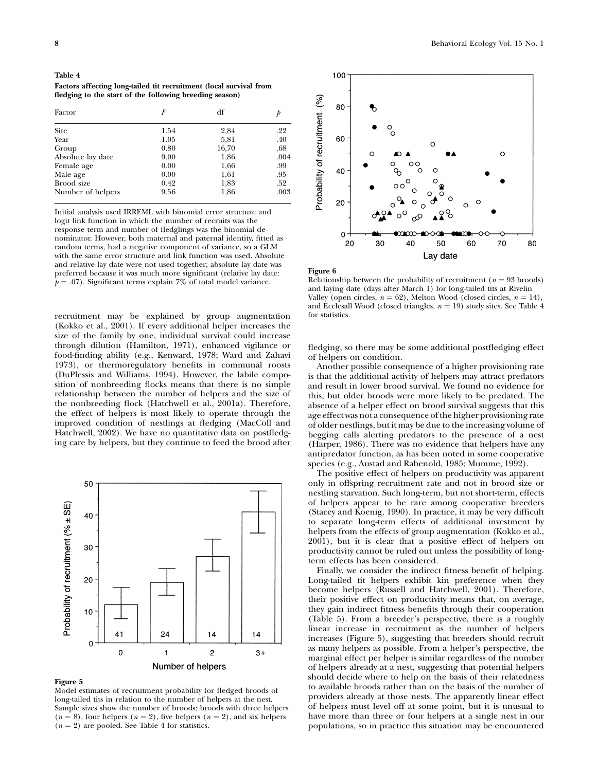| Table 4                                                            |
|--------------------------------------------------------------------|
| Factors affecting long-tailed tit recruitment (local survival from |
| fledging to the start of the following breeding season)            |

| Factor            | F    | df    |      |
|-------------------|------|-------|------|
| <b>Site</b>       | 1.54 | 2,84  | .22  |
| Year              | 1.05 | 5,81  | .40  |
| Group             | 0.80 | 16,70 | .68  |
| Absolute lay date | 9.00 | 1,86  | .004 |
| Female age        | 0.00 | 1,66  | .99  |
| Male age          | 0.00 | 1,61  | .95  |
| Brood size        | 0.42 | 1,83  | .52  |
| Number of helpers | 9.56 | 1,86  | .003 |

Initial analysis used IRREML with binomial error structure and logit link function in which the number of recruits was the response term and number of fledglings was the binomial denominator. However, both maternal and paternal identity, fitted as random terms, had a negative component of variance, so a GLM with the same error structure and link function was used. Absolute and relative lay date were not used together; absolute lay date was preferred because it was much more significant (relative lay date:  $p = .07$ ). Significant terms explain 7% of total model variance.

recruitment may be explained by group augmentation (Kokko et al., 2001). If every additional helper increases the size of the family by one, individual survival could increase through dilution (Hamilton, 1971), enhanced vigilance or food-finding ability (e.g., Kenward, 1978; Ward and Zahavi 1973), or thermoregulatory benefits in communal roosts (DuPlessis and Williams, 1994). However, the labile composition of nonbreeding flocks means that there is no simple relationship between the number of helpers and the size of the nonbreeding flock (Hatchwell et al., 2001a). Therefore, the effect of helpers is most likely to operate through the improved condition of nestlings at fledging (MacColl and Hatchwell, 2002). We have no quantitative data on postfledging care by helpers, but they continue to feed the brood after



#### Figure 5

Model estimates of recruitment probability for fledged broods of long-tailed tits in relation to the number of helpers at the nest. Sample sizes show the number of broods; broods with three helpers  $(n = 8)$ , four helpers  $(n = 2)$ , five helpers  $(n = 2)$ , and six helpers  $(n = 2)$  are pooled. See Table 4 for statistics.



#### Figure 6

Relationship between the probability of recruitment ( $n = 93$  broods) and laying date (days after March 1) for long-tailed tits at Rivelin Valley (open circles,  $n = 62$ ), Melton Wood (closed circles,  $n = 14$ ), and Ecclesall Wood (closed triangles,  $n = 19$ ) study sites. See Table 4 for statistics.

fledging, so there may be some additional postfledging effect of helpers on condition.

Another possible consequence of a higher provisioning rate is that the additional activity of helpers may attract predators and result in lower brood survival. We found no evidence for this, but older broods were more likely to be predated. The absence of a helper effect on brood survival suggests that this age effect was not a consequence of the higher provisioning rate of older nestlings, but it may be due to the increasing volume of begging calls alerting predators to the presence of a nest (Harper, 1986). There was no evidence that helpers have any antipredator function, as has been noted in some cooperative species (e.g., Austad and Rabenold, 1985; Mumme, 1992).

The positive effect of helpers on productivity was apparent only in offspring recruitment rate and not in brood size or nestling starvation. Such long-term, but not short-term, effects of helpers appear to be rare among cooperative breeders (Stacey and Koenig, 1990). In practice, it may be very difficult to separate long-term effects of additional investment by helpers from the effects of group augmentation (Kokko et al., 2001), but it is clear that a positive effect of helpers on productivity cannot be ruled out unless the possibility of longterm effects has been considered.

Finally, we consider the indirect fitness benefit of helping. Long-tailed tit helpers exhibit kin preference when they become helpers (Russell and Hatchwell, 2001). Therefore, their positive effect on productivity means that, on average, they gain indirect fitness benefits through their cooperation (Table 5). From a breeder's perspective, there is a roughly linear increase in recruitment as the number of helpers increases (Figure 5), suggesting that breeders should recruit as many helpers as possible. From a helper's perspective, the marginal effect per helper is similar regardless of the number of helpers already at a nest, suggesting that potential helpers should decide where to help on the basis of their relatedness to available broods rather than on the basis of the number of providers already at those nests. The apparently linear effect of helpers must level off at some point, but it is unusual to have more than three or four helpers at a single nest in our populations, so in practice this situation may be encountered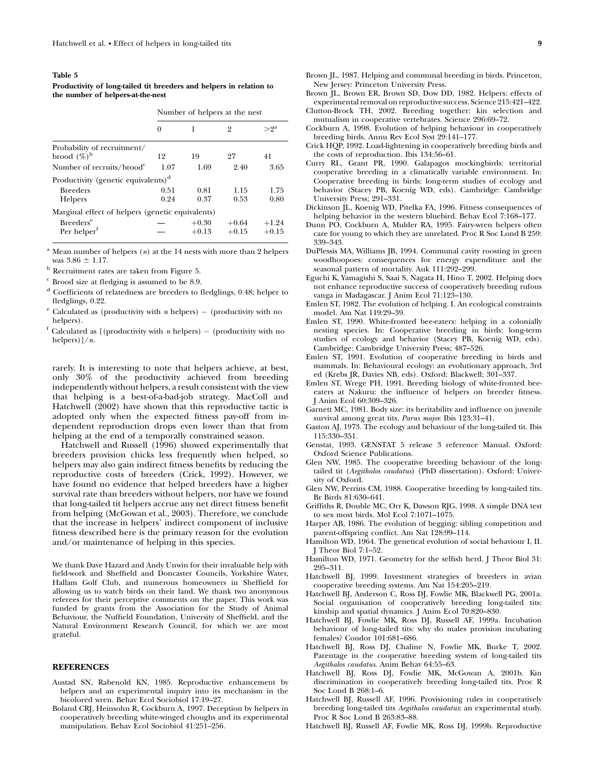#### Table 5

Productivity of long-tailed tit breeders and helpers in relation to the number of helpers-at-the-nest

#### Number of helpers at the nest

|                                                        | 0            |                    | 2                  | $>^{9^{\rm a}}$    |
|--------------------------------------------------------|--------------|--------------------|--------------------|--------------------|
| Probability of recruitment/<br>brood $(\%)^{\rm b}$    | 12           | 19                 | 97                 | 41                 |
| Number of recruits/brood $\epsilon$                    | 1.07         | 1.69               | 2.40               | 3.65               |
| Productivity (genetic equivalents) <sup>d</sup>        |              |                    |                    |                    |
| <b>Breeders</b><br><b>Helpers</b>                      | 0.51<br>0.24 | 0.81<br>0.37       | 1.15<br>0.53       | 1.75<br>0.80       |
| Marginal effect of helpers (genetic equivalents)       |              |                    |                    |                    |
| <b>Breeders<sup>e</sup></b><br>Per helper <sup>f</sup> |              | $+0.30$<br>$+0.13$ | $+0.64$<br>$+0.15$ | $+1.24$<br>$+0.15$ |

<sup>a</sup> Mean number of helpers  $(n)$  at the 14 nests with more than 2 helpers was  $3.86 \pm 1.17$ .

- $^{\rm b}$  Recruitment rates are taken from Figure 5.
- $c$  Brood size at fledging is assumed to be 8.9.
- <sup>d</sup> Coefficients of relatedness are breeders to fledglings, 0.48; helper to fledglings, 0.22.
- $e^e$  Calculated as (productivity with *n* helpers) (productivity with no helpers).
- $f$  Calculated as [(productivity with *n* helpers) (productivity with no helpers) $1/n$ .

rarely. It is interesting to note that helpers achieve, at best, only 30% of the productivity achieved from breeding independently without helpers, a result consistent with the view that helping is a best-of-a-bad-job strategy. MacColl and Hatchwell (2002) have shown that this reproductive tactic is adopted only when the expected fitness pay-off from independent reproduction drops even lower than that from helping at the end of a temporally constrained season.

Hatchwell and Russell (1996) showed experimentally that breeders provision chicks less frequently when helped, so helpers may also gain indirect fitness benefits by reducing the reproductive costs of breeders (Crick, 1992). However, we have found no evidence that helped breeders have a higher survival rate than breeders without helpers, nor have we found that long-tailed tit helpers accrue any net direct fitness benefit from helping (McGowan et al., 2003). Therefore, we conclude that the increase in helpers' indirect component of inclusive fitness described here is the primary reason for the evolution and/or maintenance of helping in this species.

We thank Dave Hazard and Andy Unwin for their invaluable help with field-work and Sheffield and Doncaster Councils, Yorkshire Water, Hallam Golf Club, and numerous homeowners in Sheffield for allowing us to watch birds on their land. We thank two anonymous referees for their perceptive comments on the paper. This work was funded by grants from the Association for the Study of Animal Behaviour, the Nuffield Foundation, University of Sheffield, and the Natural Environment Research Council, for which we are most grateful.

# REFERENCES

- Austad SN, Rabenold KN, 1985. Reproductive enhancement by helpers and an experimental inquiry into its mechanism in the bicolored wren. Behav Ecol Sociobiol 17:19–27.
- Boland CRJ, Heinsohn R, Cockburn A, 1997. Deception by helpers in cooperatively breeding white-winged choughs and its experimental manipulation. Behav Ecol Sociobiol 41:251–256.
- Brown JL, 1987. Helping and communal breeding in birds. Princeton, New Jersey: Princeton University Press.
- Brown JL, Brown ER, Brown SD, Dow DD, 1982. Helpers: effects of experimental removal on reproductive success. Science 215:421–422.
- Clutton-Brock TH, 2002. Breeding together: kin selection and mutualism in cooperative vertebrates. Science 296:69–72.
- Cockburn A, 1998. Evolution of helping behaviour in cooperatively breeding birds. Annu Rev Ecol Syst 29:141–177.
- Crick HQP, 1992. Load-lightening in cooperatively breeding birds and the costs of reproduction. Ibis 134:56–61.
- Curry RL, Grant PR, 1990. Galapagos mockingbirds: territorial cooperative breeding in a climatically variable environment. In: Cooperative breeding in birds: long-term studies of ecology and behavior (Stacey PB, Koenig WD, eds). Cambridge: Cambridge University Press; 291–331.
- Dickinson JL, Koenig WD, Pitelka FA, 1996. Fitness consequences of helping behavior in the western bluebird. Behav Ecol 7:168-177.
- Dunn PO, Cockburn A, Mulder RA, 1995. Fairy-wren helpers often care for young to which they are unrelated. Proc R Soc Lond B 259: 339–343.
- DuPlessis MA, Williams JB, 1994. Communal cavity roosting in green woodhoopoes: consequences for energy expenditure and the seasonal pattern of mortality. Auk 111:292–299.
- Eguchi K, Yamagishi S, Saai S, Nagata H, Hino T, 2002. Helping does not enhance reproductive success of cooperatively breeding rufous vanga in Madagascar. J Anim Ecol 71:123–130.
- Emlen ST, 1982. The evolution of helping. I. An ecological constraints model. Am Nat 119:29–39.
- Emlen ST, 1990. White-fronted bee-eaters: helping in a colonially nesting species. In: Cooperative breeding in birds: long-term studies of ecology and behavior (Stacey PB, Koenig WD, eds). Cambridge: Cambridge University Press; 487–526.
- Emlen ST, 1991. Evolution of cooperative breeding in birds and mammals. In: Behavioural ecology: an evolutionary approach, 3rd ed (Krebs JR, Davies NB, eds). Oxford: Blackwell; 301–337.
- Emlen ST, Wrege PH, 1991. Breeding biology of white-fronted beeeaters at Nakuru: the influence of helpers on breeder fitness. J Anim Ecol 60:309–326.
- Garnett MC, 1981. Body size: its heritability and influence on juvenile survival among great tits, Parus major. Ibis 123:31–41.
- Gaston AJ, 1973. The ecology and behaviour of the long-tailed tit. Ibis 115:330–351.
- Genstat, 1993. GENSTAT 5 release 3 reference Manual. Oxford: Oxford Science Publications.
- Glen NW, 1985. The cooperative breeding behaviour of the longtailed tit (Aegithalos caudatus) (PhD dissertation). Oxford: University of Oxford.
- Glen NW, Perrins CM, 1988. Cooperative breeding by long-tailed tits. Br Birds 81:630–641.
- Griffiths R, Double MC, Orr K, Dawson RJG, 1998. A simple DNA test to sex most birds. Mol Ecol 7:1071–1075.
- Harper AB, 1986. The evolution of begging: sibling competition and parent-offspring conflict. Am Nat 128:99–114.
- Hamilton WD, 1964. The genetical evolution of social behaviour I, II. J Theor Biol 7:1–52.
- Hamilton WD, 1971. Geometry for the selfish herd. J Theor Biol 31: 295–311.
- Hatchwell BJ, 1999. Investment strategies of breeders in avian cooperative breeding systems. Am Nat 154:205–219.
- Hatchwell BJ, Anderson C, Ross DJ, Fowlie MK, Blackwell PG, 2001a. Social organisation of cooperatively breeding long-tailed tits: kinship and spatial dynamics. J Anim Ecol 70:820–830.
- Hatchwell BJ, Fowlie MK, Ross DJ, Russell AF, 1999a. Incubation behaviour of long-tailed tits: why do males provision incubating females? Condor 101:681–686.
- Hatchwell BJ, Ross DJ, Chaline N, Fowlie MK, Burke T, 2002. Parentage in the cooperative breeding system of long-tailed tits Aegithalos caudatus. Anim Behav 64:55–63.
- Hatchwell BJ, Ross DJ, Fowlie MK, McGowan A, 2001b. Kin discrimination in cooperatively breeding long-tailed tits. Proc R Soc Lond B 268:1–6.
- Hatchwell BJ, Russell AF, 1996. Provisioning rules in cooperatively breeding long-tailed tits Aegithalos caudatus: an experimental study. Proc R Soc Lond B 263:83–88.
- Hatchwell BJ, Russell AF, Fowlie MK, Ross DJ, 1999b. Reproductive